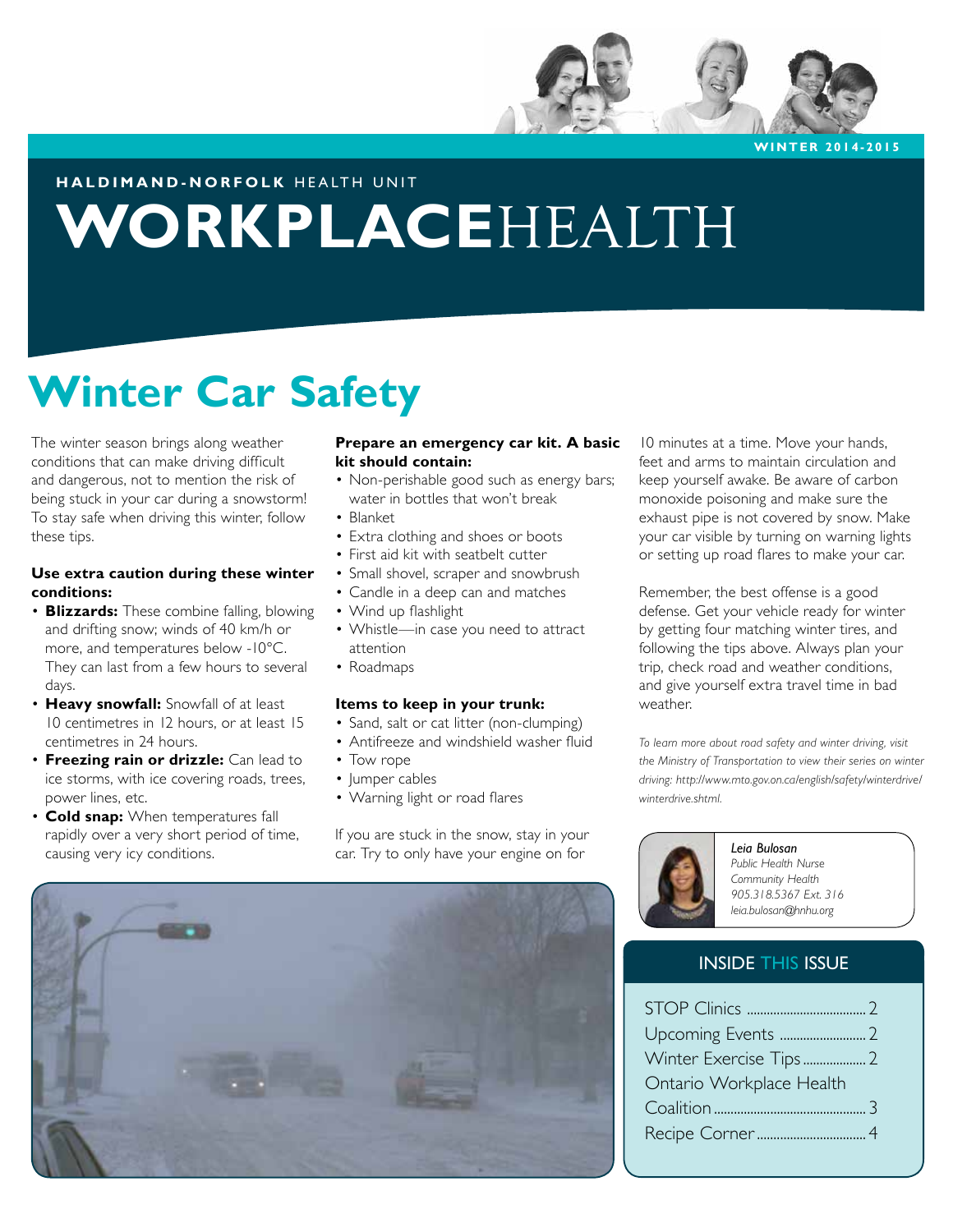

**WINTER 2014-2015**

## **HALDIMAND-NORFOLK** HEALTH UNIT

# **WORKPLACE**HEALTH

# **Winter Car Safety**

The winter season brings along weather conditions that can make driving difficult and dangerous, not to mention the risk of being stuck in your car during a snowstorm! To stay safe when driving this winter, follow these tips.

## **Use extra caution during these winter conditions:**

- **Blizzards:** These combine falling, blowing and drifting snow; winds of 40 km/h or more, and temperatures below -10°C. They can last from a few hours to several days.
- **Heavy snowfall:** Snowfall of at least 10 centimetres in 12 hours, or at least 15 centimetres in 24 hours.
- **Freezing rain or drizzle:** Can lead to ice storms, with ice covering roads, trees, power lines, etc.
- **Cold snap:** When temperatures fall rapidly over a very short period of time, causing very icy conditions.

### **Prepare an emergency car kit. A basic kit should contain:**

- Non-perishable good such as energy bars; water in bottles that won't break
- Blanket
- Extra clothing and shoes or boots
- First aid kit with seatbelt cutter
- Small shovel, scraper and snowbrush
- Candle in a deep can and matches
- Wind up flashlight
- Whistle—in case you need to attract attention
- Roadmaps

#### **Items to keep in your trunk:**

- Sand, salt or cat litter (non-clumping)
- Antifreeze and windshield washer fluid
- Tow rope
- Jumper cables
- Warning light or road flares

If you are stuck in the snow, stay in your car. Try to only have your engine on for



10 minutes at a time. Move your hands, feet and arms to maintain circulation and keep yourself awake. Be aware of carbon monoxide poisoning and make sure the exhaust pipe is not covered by snow. Make your car visible by turning on warning lights or setting up road flares to make your car.

Remember, the best offense is a good defense. Get your vehicle ready for winter by getting four matching winter tires, and following the tips above. Always plan your trip, check road and weather conditions, and give yourself extra travel time in bad weather.

*To learn more about road safety and winter driving, visit the Ministry of Transportation to view their series on winter driving: http://www.mto.gov.on.ca/english/safety/winterdrive/ winterdrive.shtml.* 



*Leia Bulosan Public Health Nurse Community Health 905.318.5367 Ext. 316*

*leia.bulosan@hnhu.org*

## INSIDE THIS ISSUE

| Ontario Workplace Health |  |
|--------------------------|--|
|                          |  |
|                          |  |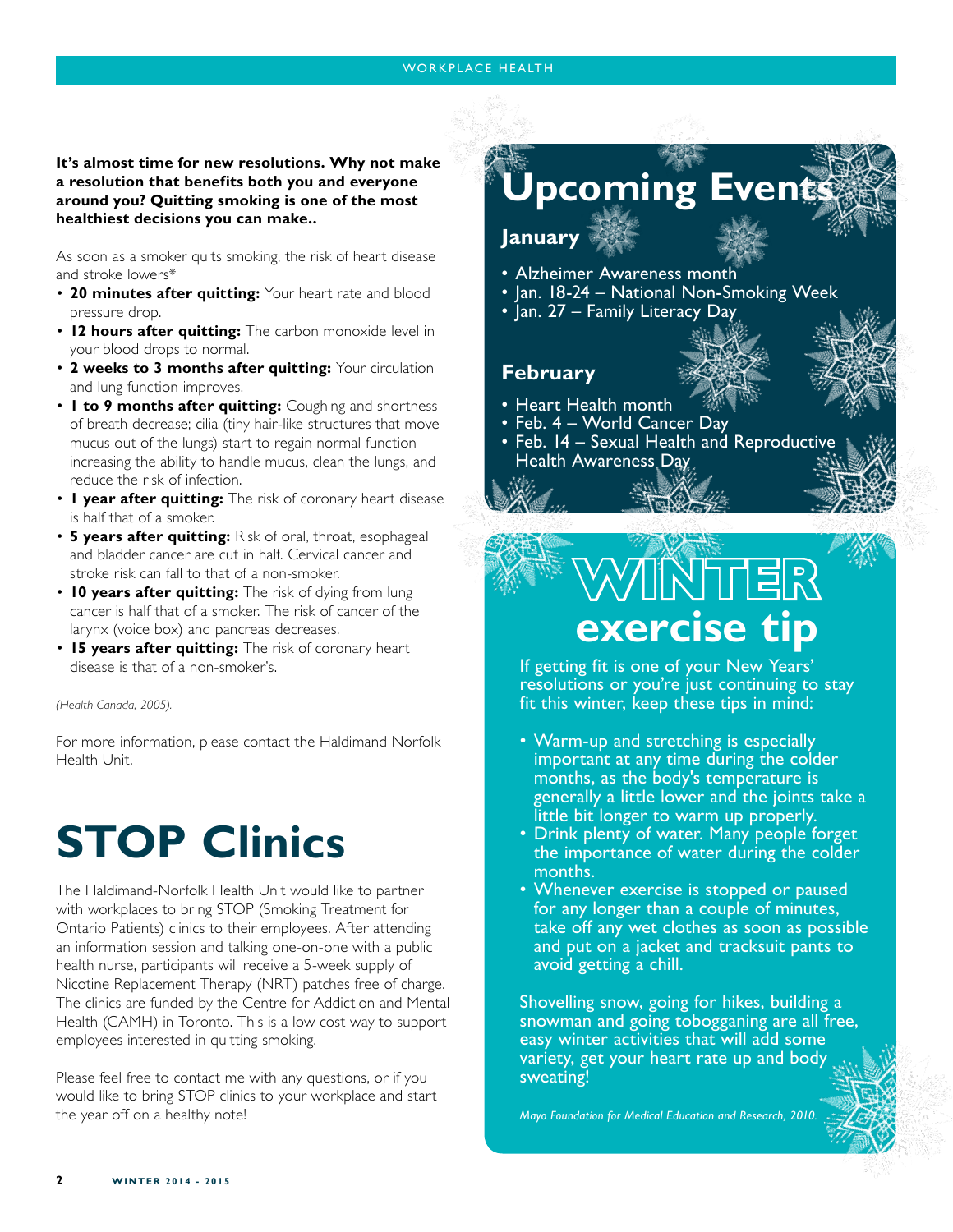## **It's almost time for new resolutions. Why not make a resolution that benefits both you and everyone around you? Quitting smoking is one of the most healthiest decisions you can make..**

As soon as a smoker quits smoking, the risk of heart disease and stroke lowers\*

- **20 minutes after quitting:** Your heart rate and blood pressure drop.
- **12 hours after quitting:** The carbon monoxide level in your blood drops to normal.
- **2 weeks to 3 months after quitting:** Your circulation and lung function improves.
- **1 to 9 months after quitting:** Coughing and shortness of breath decrease; cilia (tiny hair-like structures that move mucus out of the lungs) start to regain normal function increasing the ability to handle mucus, clean the lungs, and reduce the risk of infection.
- **1 year after quitting:** The risk of coronary heart disease is half that of a smoker.
- **5 years after quitting:** Risk of oral, throat, esophageal and bladder cancer are cut in half. Cervical cancer and stroke risk can fall to that of a non-smoker.
- **10 years after quitting:** The risk of dying from lung cancer is half that of a smoker. The risk of cancer of the larynx (voice box) and pancreas decreases.
- **15 years after quitting:** The risk of coronary heart disease is that of a non-smoker's.

#### *(Health Canada, 2005).*

For more information, please contact the Haldimand Norfolk Health Unit.

# **STOP Clinics**

The Haldimand-Norfolk Health Unit would like to partner with workplaces to bring STOP (Smoking Treatment for Ontario Patients) clinics to their employees. After attending an information session and talking one-on-one with a public health nurse, participants will receive a 5-week supply of Nicotine Replacement Therapy (NRT) patches free of charge. The clinics are funded by the Centre for Addiction and Mental Health (CAMH) in Toronto. This is a low cost way to support employees interested in quitting smoking.

Please feel free to contact me with any questions, or if you would like to bring STOP clinics to your workplace and start the year off on a healthy note!

# **Jpcoming Event**

# **January**

- Alzheimer Awareness month
- Jan. 18-24 National Non-Smoking Week
- Jan. 27 Family Literacy Day



- Heart Health month
- Feb. 4 World Cancer Day
- Feb. 14 Sexual Health and Reproductive Health Awareness Day

# **WINTER exercise tip**

If getting fit is one of your New Years' resolutions or you're just continuing to stay fit this winter, keep these tips in mind:

- Warm-up and stretching is especially important at any time during the colder months, as the body's temperature is generally a little lower and the joints take a little bit longer to warm up properly.
- Drink plenty of water. Many people forget the importance of water during the colder months.
- Whenever exercise is stopped or paused for any longer than a couple of minutes, take off any wet clothes as soon as possible and put on a jacket and tracksuit pants to avoid getting a chill.

Shovelling snow, going for hikes, building a snowman and going tobogganing are all free, easy winter activities that will add some variety, get your heart rate up and body sweating!

*Mayo Foundation for Medical Education and Research, 2010.*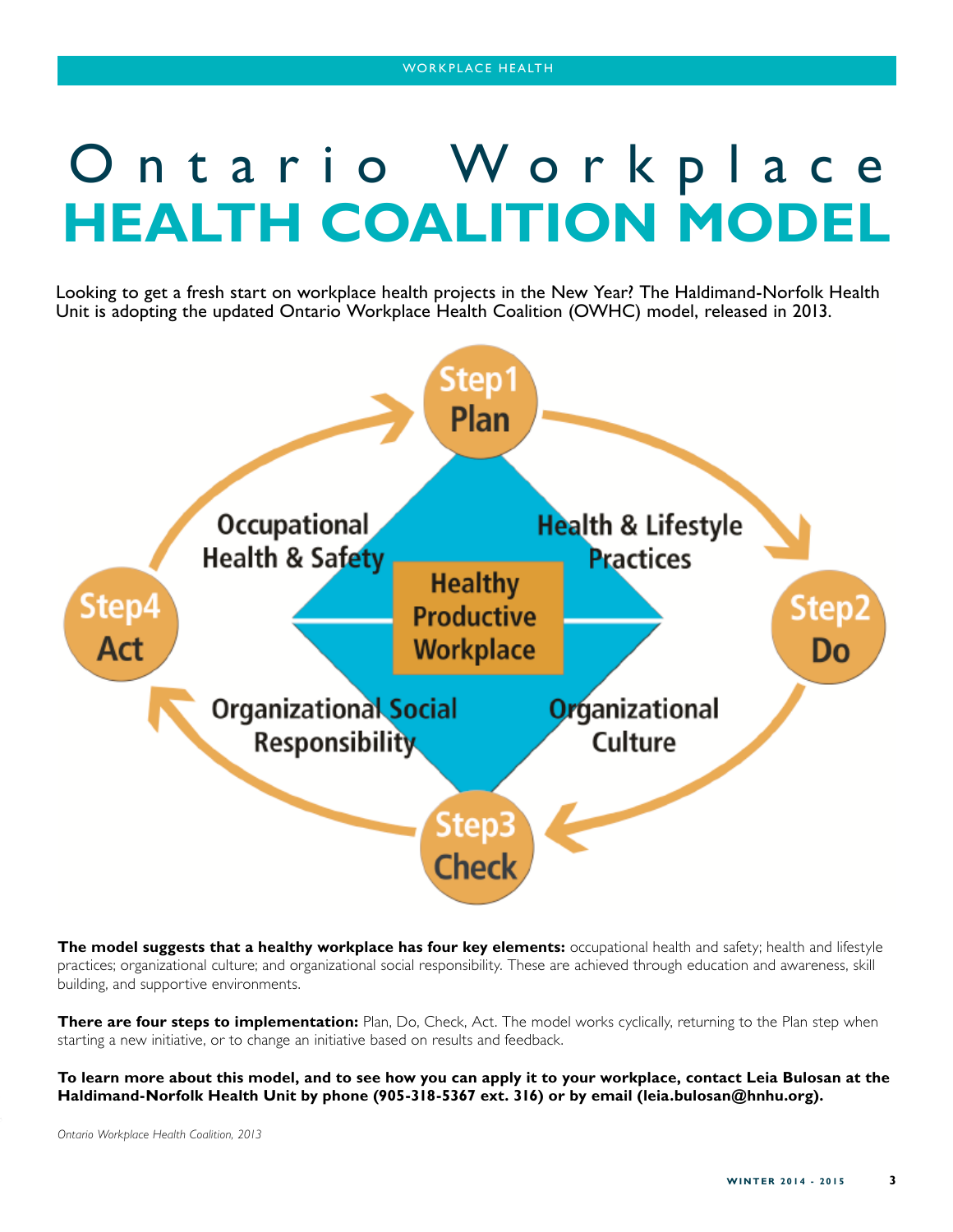# Ontario Workplace **HEALTH COALITION MODEL**

Looking to get a fresh start on workplace health projects in the New Year? The Haldimand-Norfolk Health Unit is adopting the updated Ontario Workplace Health Coalition (OWHC) model, released in 2013.



**The model suggests that a healthy workplace has four key elements:** occupational health and safety; health and lifestyle practices; organizational culture; and organizational social responsibility. These are achieved through education and awareness, skill building, and supportive environments.

**There are four steps to implementation:** Plan, Do, Check, Act. The model works cyclically, returning to the Plan step when starting a new initiative, or to change an initiative based on results and feedback.

**To learn more about this model, and to see how you can apply it to your workplace, contact Leia Bulosan at the Haldimand-Norfolk Health Unit by phone (905-318-5367 ext. 316) or by email (leia.bulosan@hnhu.org).** 

*Ontario Workplace Health Coalition, 2013*